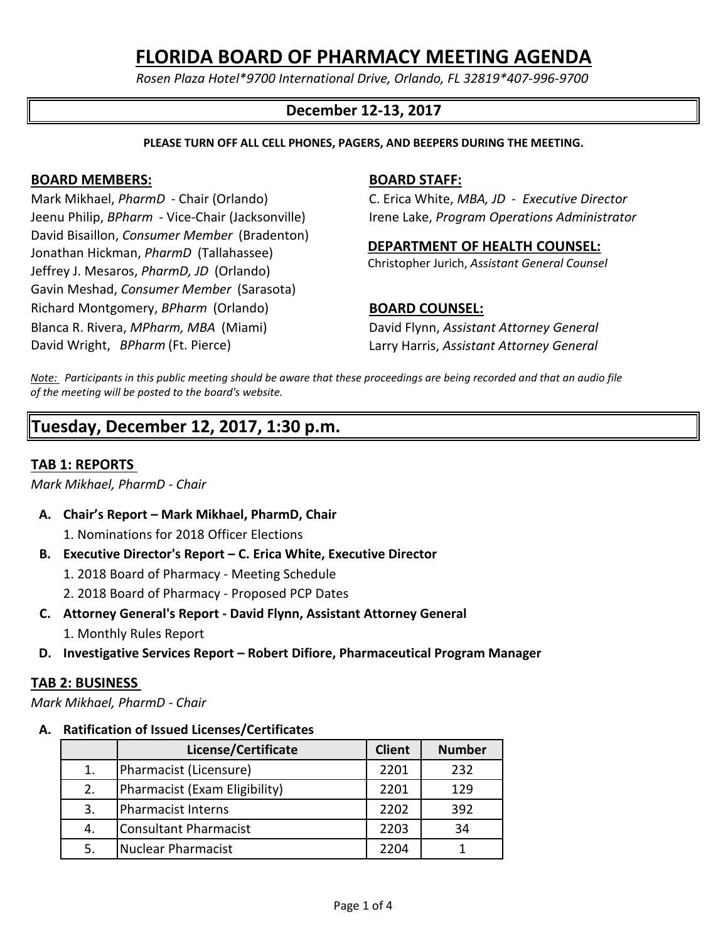*Rosen Plaza Hotel\*9700 International Drive, Orlando, FL 32819\*407-996-9700*

# **December 12-13, 2017**

**PLEASE TURN OFF ALL CELL PHONES, PAGERS, AND BEEPERS DURING THE MEETING.**

## **BOARD MEMBERS: BOARD STAFF:**

Mark Mikhael, *PharmD* - Chair (Orlando) C. Erica White, *MBA, JD* - *Executive Director* Jeenu Philip, *BPharm* - Vice-Chair (Jacksonville) Irene Lake, *Program Operations Administrator* David Bisaillon, *Consumer Member* (Bradenton) Jonathan Hickman, *PharmD* (Tallahassee) Jeffrey J. Mesaros, *PharmD, JD* (Orlando) Gavin Meshad, *Consumer Member* (Sarasota) Richard Montgomery, *BPharm* (Orlando) **BOARD COUNSEL:** Blanca R. Rivera, *MPharm, MBA* (Miami) David Flynn, *Assistant Attorney General* David Wright, Bpharm *BPharm* (Ft. Pierce) Larry Harris, *Assistant Attorney General*

# **DEPARTMENT OF HEALTH COUNSEL:**

Christopher Jurich, *Assistant General Counsel*

*Note: Participants in this public meeting should be aware that these proceedings are being recorded and that an audio file of the meeting will be posted to the board's website.*

# **Tuesday, December 12, 2017, 1:30 p.m.**

# **TAB 1: REPORTS**

*Mark Mikhael, PharmD - Chair*

- **A. Chair's Report Mark Mikhael, PharmD, Chair**
	- 1. Nominations for 2018 Officer Elections
- **B. Executive Director's Report C. Erica White, Executive Director**
	- 1. 2018 Board of Pharmacy Meeting Schedule
	- 2. 2018 Board of Pharmacy Proposed PCP Dates
- **C. Attorney General's Report David Flynn, Assistant Attorney General**
	- 1. Monthly Rules Report
- **D. Investigative Services Report Robert Difiore, Pharmaceutical Program Manager**

### **TAB 2: BUSINESS**

*Mark Mikhael, PharmD - Chair*

### **A. Ratification of Issued Licenses/Certificates**

|    | License/Certificate           | <b>Client</b> | <b>Number</b> |
|----|-------------------------------|---------------|---------------|
| 1. | Pharmacist (Licensure)        | 2201          | 232           |
| 2. | Pharmacist (Exam Eligibility) | 2201          | 129           |
| 3. | <b>Pharmacist Interns</b>     | 2202          | 392           |
| 4. | <b>Consultant Pharmacist</b>  | 2203          | 34            |
| 5. | <b>Nuclear Pharmacist</b>     | 2204          |               |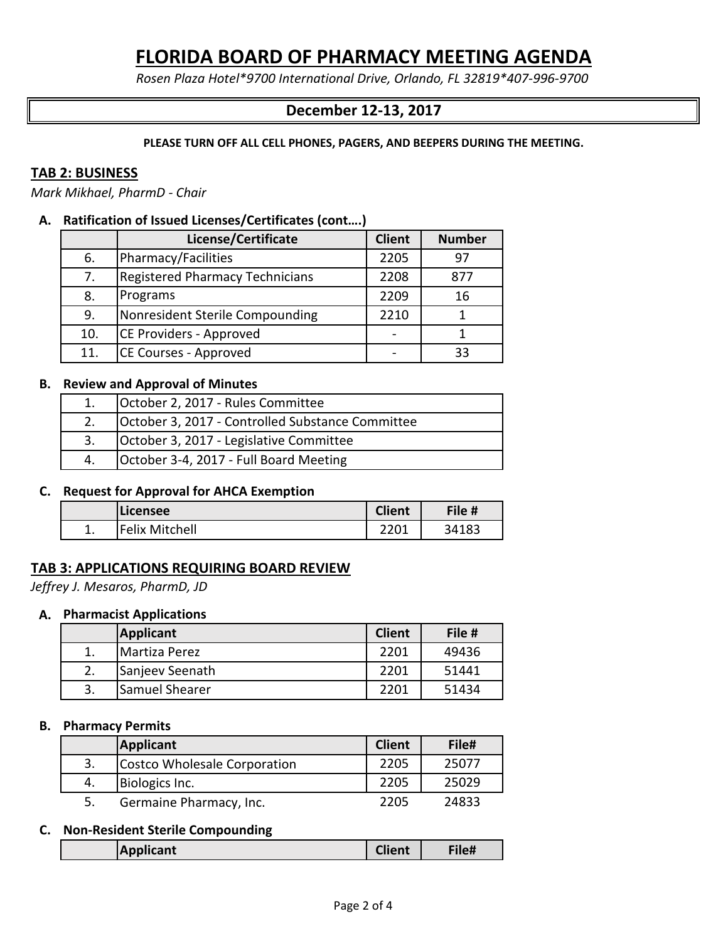*Rosen Plaza Hotel\*9700 International Drive, Orlando, FL 32819\*407-996-9700*

# **December 12-13, 2017**

**PLEASE TURN OFF ALL CELL PHONES, PAGERS, AND BEEPERS DURING THE MEETING.**

## **TAB 2: BUSINESS**

*Mark Mikhael, PharmD - Chair*

## **A. Ratification of Issued Licenses/Certificates (cont….)**

|     | License/Certificate                    | <b>Client</b> | <b>Number</b> |
|-----|----------------------------------------|---------------|---------------|
| 6.  | Pharmacy/Facilities                    | 2205          | 97            |
| 7.  | <b>Registered Pharmacy Technicians</b> | 2208          | 877           |
| 8.  | Programs                               | 2209          | 16            |
| 9.  | Nonresident Sterile Compounding        | 2210          |               |
| 10. | CE Providers - Approved                |               |               |
| 11. | CE Courses - Approved                  |               | 33            |

## **B. Review and Approval of Minutes**

|    | October 2, 2017 - Rules Committee                |
|----|--------------------------------------------------|
|    | October 3, 2017 - Controlled Substance Committee |
|    | October 3, 2017 - Legislative Committee          |
| 4. | October 3-4, 2017 - Full Board Meeting           |

# **C. Request for Approval for AHCA Exemption**

|    | Licensee              | <b>Client</b>  | File # |
|----|-----------------------|----------------|--------|
| ∸. | <b>Felix Mitchell</b> | າາ∩≁<br>44 U.L | 34183  |

# **TAB 3: APPLICATIONS REQUIRING BOARD REVIEW**

*Jeffrey J. Mesaros, PharmD, JD* 

#### **A. Pharmacist Applications**

|    | <b>Applicant</b>      | <b>Client</b> | File # |
|----|-----------------------|---------------|--------|
|    | Martiza Perez         | 2201          | 49436  |
|    | Sanjeev Seenath       | 2201          | 51441  |
| 3. | <b>Samuel Shearer</b> | 2201          | 51434  |

#### **B. Pharmacy Permits**

|    | Applicant                    | <b>Client</b> | File# |
|----|------------------------------|---------------|-------|
|    | Costco Wholesale Corporation | 2205          | 25077 |
| 4. | Biologics Inc.               | 2205          | 25029 |
|    | Germaine Pharmacy, Inc.      | 2205          | 24833 |

#### **C. Non-Resident Sterile Compounding**

| <b>Filet</b><br>Client<br> Applicant |
|--------------------------------------|
|--------------------------------------|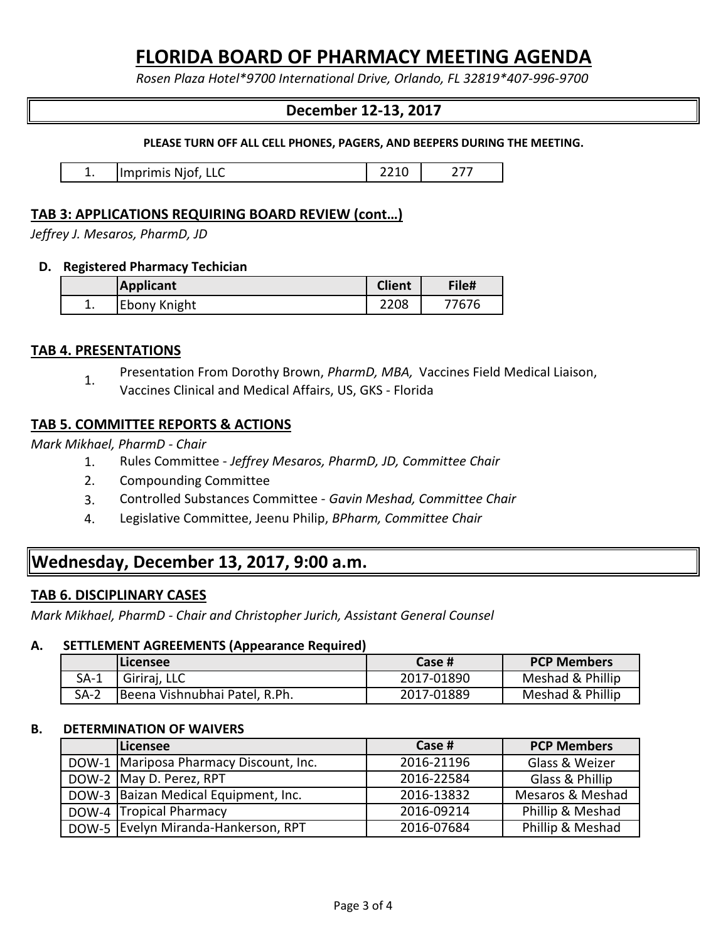*Rosen Plaza Hotel\*9700 International Drive, Orlando, FL 32819\*407-996-9700*

# **December 12-13, 2017**

**PLEASE TURN OFF ALL CELL PHONES, PAGERS, AND BEEPERS DURING THE MEETING.**

| -- | Ilmprimis Njot,<br>ᄔᄔ | - |  |
|----|-----------------------|---|--|
|----|-----------------------|---|--|

# **TAB 3: APPLICATIONS REQUIRING BOARD REVIEW (cont…)**

*Jeffrey J. Mesaros, PharmD, JD* 

### **D. Registered Pharmacy Techician**

|    | <b>Applicant</b> | <b>Client</b> | File# |
|----|------------------|---------------|-------|
| ∸. | Ebony Knight     | 2208          | 7676  |

# **TAB 4. PRESENTATIONS**

1. Presentation From Dorothy Brown, *PharmD, MBA,* Vaccines Field Medical Liaison, Vaccines Clinical and Medical Affairs, US, GKS - Florida

# **TAB 5. COMMITTEE REPORTS & ACTIONS**

*Mark Mikhael, PharmD - Chair*

- 1. Rules Committee - *Jeffrey Mesaros, PharmD, JD, Committee Chair*
- 2. Compounding Committee
- 3. Controlled Substances Committee *Gavin Meshad, Committee Chair*
- 4. Legislative Committee, Jeenu Philip, *BPharm, Committee Chair*

# **Wednesday, December 13, 2017, 9:00 a.m.**

# **TAB 6. DISCIPLINARY CASES**

*Mark Mikhael, PharmD - Chair and Christopher Jurich, Assistant General Counsel*

## **A. SETTLEMENT AGREEMENTS (Appearance Required)**

|        | <b>Licensee</b>               | Case #     | <b>PCP Members</b> |
|--------|-------------------------------|------------|--------------------|
| SA-1   | Giriraj, LLC                  | 2017-01890 | Meshad & Phillip   |
| $SA-2$ | Beena Vishnubhai Patel, R.Ph. | 2017-01889 | Meshad & Phillip   |

### **B. DETERMINATION OF WAIVERS**

| <b>Licensee</b>                        | Case #     | <b>PCP Members</b> |
|----------------------------------------|------------|--------------------|
| DOW-1 Mariposa Pharmacy Discount, Inc. | 2016-21196 | Glass & Weizer     |
| DOW-2 May D. Perez, RPT                | 2016-22584 | Glass & Phillip    |
| DOW-3 Baizan Medical Equipment, Inc.   | 2016-13832 | Mesaros & Meshad   |
| DOW-4 Tropical Pharmacy                | 2016-09214 | Phillip & Meshad   |
| DOW-5 Evelyn Miranda-Hankerson, RPT    | 2016-07684 | Phillip & Meshad   |